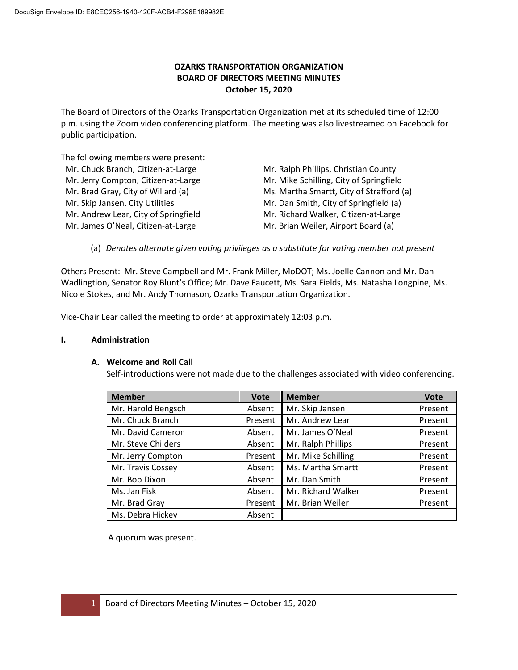# **OZARKS TRANSPORTATION ORGANIZATION BOARD OF DIRECTORS MEETING MINUTES October 15, 2020**

The Board of Directors of the Ozarks Transportation Organization met at its scheduled time of 12:00 p.m. using the Zoom video conferencing platform. The meeting was also livestreamed on Facebook for public participation.

The following members were present:

| Mr. Chuck Branch, Citizen-at-Large   | Mr. Ralph Phillips, Christian County     |
|--------------------------------------|------------------------------------------|
| Mr. Jerry Compton, Citizen-at-Large  | Mr. Mike Schilling, City of Springfield  |
| Mr. Brad Gray, City of Willard (a)   | Ms. Martha Smartt, City of Strafford (a) |
| Mr. Skip Jansen, City Utilities      | Mr. Dan Smith, City of Springfield (a)   |
| Mr. Andrew Lear, City of Springfield | Mr. Richard Walker, Citizen-at-Large     |
| Mr. James O'Neal, Citizen-at-Large   | Mr. Brian Weiler, Airport Board (a)      |
|                                      |                                          |

(a) *Denotes alternate given voting privileges as a substitute for voting member not present*

Others Present: Mr. Steve Campbell and Mr. Frank Miller, MoDOT; Ms. Joelle Cannon and Mr. Dan Wadlingtion, Senator Roy Blunt's Office; Mr. Dave Faucett, Ms. Sara Fields, Ms. Natasha Longpine, Ms. Nicole Stokes, and Mr. Andy Thomason, Ozarks Transportation Organization.

Vice-Chair Lear called the meeting to order at approximately 12:03 p.m.

### **I. Administration**

### **A. Welcome and Roll Call**

Self-introductions were not made due to the challenges associated with video conferencing.

| <b>Member</b>      | <b>Vote</b> | <b>Member</b>      | <b>Vote</b> |
|--------------------|-------------|--------------------|-------------|
| Mr. Harold Bengsch | Absent      | Mr. Skip Jansen    | Present     |
| Mr. Chuck Branch   | Present     | Mr. Andrew Lear    | Present     |
| Mr. David Cameron  | Absent      | Mr. James O'Neal   | Present     |
| Mr. Steve Childers | Absent      | Mr. Ralph Phillips | Present     |
| Mr. Jerry Compton  | Present     | Mr. Mike Schilling | Present     |
| Mr. Travis Cossey  | Absent      | Ms. Martha Smartt  | Present     |
| Mr. Bob Dixon      | Absent      | Mr. Dan Smith      | Present     |
| Ms. Jan Fisk       | Absent      | Mr. Richard Walker | Present     |
| Mr. Brad Gray      | Present     | Mr. Brian Weiler   | Present     |
| Ms. Debra Hickey   | Absent      |                    |             |

A quorum was present.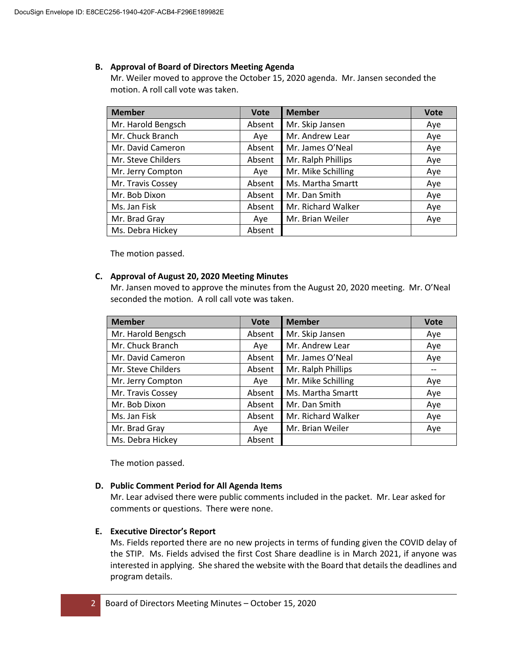### **B. Approval of Board of Directors Meeting Agenda**

Mr. Weiler moved to approve the October 15, 2020 agenda. Mr. Jansen seconded the motion. A roll call vote was taken.

| <b>Member</b>      | <b>Vote</b> | <b>Member</b>      | <b>Vote</b> |
|--------------------|-------------|--------------------|-------------|
| Mr. Harold Bengsch | Absent      | Mr. Skip Jansen    | Aye         |
| Mr. Chuck Branch   | Aye         | Mr. Andrew Lear    | Aye         |
| Mr. David Cameron  | Absent      | Mr. James O'Neal   | Aye         |
| Mr. Steve Childers | Absent      | Mr. Ralph Phillips | Aye         |
| Mr. Jerry Compton  | Ave         | Mr. Mike Schilling | Aye         |
| Mr. Travis Cossey  | Absent      | Ms. Martha Smartt  | Aye         |
| Mr. Bob Dixon      | Absent      | Mr. Dan Smith      | Aye         |
| Ms. Jan Fisk       | Absent      | Mr. Richard Walker | Aye         |
| Mr. Brad Gray      | Aye         | Mr. Brian Weiler   | Aye         |
| Ms. Debra Hickey   | Absent      |                    |             |

The motion passed.

### **C. Approval of August 20, 2020 Meeting Minutes**

Mr. Jansen moved to approve the minutes from the August 20, 2020 meeting. Mr. O'Neal seconded the motion. A roll call vote was taken.

| <b>Member</b>      | <b>Vote</b> | <b>Member</b>      | <b>Vote</b> |
|--------------------|-------------|--------------------|-------------|
| Mr. Harold Bengsch | Absent      | Mr. Skip Jansen    | Aye         |
| Mr. Chuck Branch   | Aye         | Mr. Andrew Lear    | Aye         |
| Mr. David Cameron  | Absent      | Mr. James O'Neal   | Aye         |
| Mr. Steve Childers | Absent      | Mr. Ralph Phillips |             |
| Mr. Jerry Compton  | Aye         | Mr. Mike Schilling | Aye         |
| Mr. Travis Cossey  | Absent      | Ms. Martha Smartt  | Aye         |
| Mr. Bob Dixon      | Absent      | Mr. Dan Smith      | Aye         |
| Ms. Jan Fisk       | Absent      | Mr. Richard Walker | Aye         |
| Mr. Brad Gray      | Aye         | Mr. Brian Weiler   | Aye         |
| Ms. Debra Hickey   | Absent      |                    |             |

The motion passed.

# **D. Public Comment Period for All Agenda Items**

Mr. Lear advised there were public comments included in the packet. Mr. Lear asked for comments or questions. There were none.

# **E. Executive Director's Report**

Ms. Fields reported there are no new projects in terms of funding given the COVID delay of the STIP. Ms. Fields advised the first Cost Share deadline is in March 2021, if anyone was interested in applying. She shared the website with the Board that details the deadlines and program details.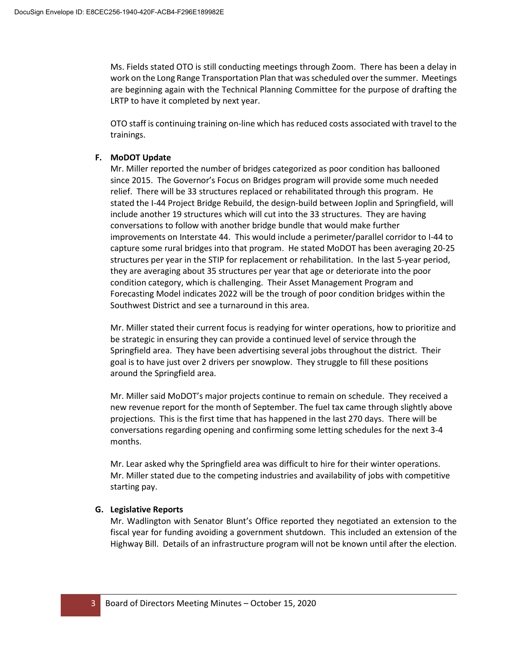Ms. Fields stated OTO is still conducting meetings through Zoom. There has been a delay in work on the Long Range Transportation Plan that was scheduled over the summer. Meetings are beginning again with the Technical Planning Committee for the purpose of drafting the LRTP to have it completed by next year.

OTO staff is continuing training on-line which has reduced costs associated with travel to the trainings.

### **F. MoDOT Update**

Mr. Miller reported the number of bridges categorized as poor condition has ballooned since 2015. The Governor's Focus on Bridges program will provide some much needed relief. There will be 33 structures replaced or rehabilitated through this program. He stated the I-44 Project Bridge Rebuild, the design-build between Joplin and Springfield, will include another 19 structures which will cut into the 33 structures. They are having conversations to follow with another bridge bundle that would make further improvements on Interstate 44. This would include a perimeter/parallel corridor to I-44 to capture some rural bridges into that program. He stated MoDOT has been averaging 20-25 structures per year in the STIP for replacement or rehabilitation. In the last 5-year period, they are averaging about 35 structures per year that age or deteriorate into the poor condition category, which is challenging. Their Asset Management Program and Forecasting Model indicates 2022 will be the trough of poor condition bridges within the Southwest District and see a turnaround in this area.

Mr. Miller stated their current focus is readying for winter operations, how to prioritize and be strategic in ensuring they can provide a continued level of service through the Springfield area. They have been advertising several jobs throughout the district. Their goal is to have just over 2 drivers per snowplow. They struggle to fill these positions around the Springfield area.

Mr. Miller said MoDOT's major projects continue to remain on schedule. They received a new revenue report for the month of September. The fuel tax came through slightly above projections. This is the first time that has happened in the last 270 days. There will be conversations regarding opening and confirming some letting schedules for the next 3-4 months.

Mr. Lear asked why the Springfield area was difficult to hire for their winter operations. Mr. Miller stated due to the competing industries and availability of jobs with competitive starting pay.

# **G. Legislative Reports**

Mr. Wadlington with Senator Blunt's Office reported they negotiated an extension to the fiscal year for funding avoiding a government shutdown. This included an extension of the Highway Bill. Details of an infrastructure program will not be known until after the election.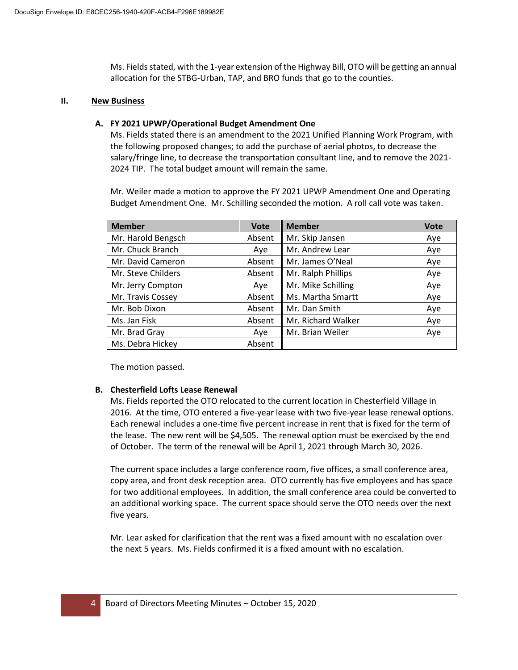Ms. Fields stated, with the 1-year extension of the Highway Bill, OTO will be getting an annual allocation for the STBG-Urban, TAP, and BRO funds that go to the counties.

#### **II. New Business**

### **A. FY 2021 UPWP/Operational Budget Amendment One**

Ms. Fields stated there is an amendment to the 2021 Unified Planning Work Program, with the following proposed changes; to add the purchase of aerial photos, to decrease the salary/fringe line, to decrease the transportation consultant line, and to remove the 2021- 2024 TIP. The total budget amount will remain the same.

Mr. Weiler made a motion to approve the FY 2021 UPWP Amendment One and Operating Budget Amendment One. Mr. Schilling seconded the motion. A roll call vote was taken.

| <b>Member</b>      | <b>Vote</b> | <b>Member</b>      | <b>Vote</b> |
|--------------------|-------------|--------------------|-------------|
| Mr. Harold Bengsch | Absent      | Mr. Skip Jansen    | Aye         |
| Mr. Chuck Branch   | Aye         | Mr. Andrew Lear    | Aye         |
| Mr. David Cameron  | Absent      | Mr. James O'Neal   | Aye         |
| Mr. Steve Childers | Absent      | Mr. Ralph Phillips | Aye         |
| Mr. Jerry Compton  | Ave         | Mr. Mike Schilling | Aye         |
| Mr. Travis Cossey  | Absent      | Ms. Martha Smartt  | Aye         |
| Mr. Bob Dixon      | Absent      | Mr. Dan Smith      | Aye         |
| Ms. Jan Fisk       | Absent      | Mr. Richard Walker | Aye         |
| Mr. Brad Gray      | Aye         | Mr. Brian Weiler   | Aye         |
| Ms. Debra Hickey   | Absent      |                    |             |

The motion passed.

### **B. Chesterfield Lofts Lease Renewal**

Ms. Fields reported the OTO relocated to the current location in Chesterfield Village in 2016. At the time, OTO entered a five-year lease with two five-year lease renewal options. Each renewal includes a one-time five percent increase in rent that is fixed for the term of the lease. The new rent will be \$4,505. The renewal option must be exercised by the end of October. The term of the renewal will be April 1, 2021 through March 30, 2026.

The current space includes a large conference room, five offices, a small conference area, copy area, and front desk reception area. OTO currently has five employees and has space for two additional employees. In addition, the small conference area could be converted to an additional working space. The current space should serve the OTO needs over the next five years.

Mr. Lear asked for clarification that the rent was a fixed amount with no escalation over the next 5 years. Ms. Fields confirmed it is a fixed amount with no escalation.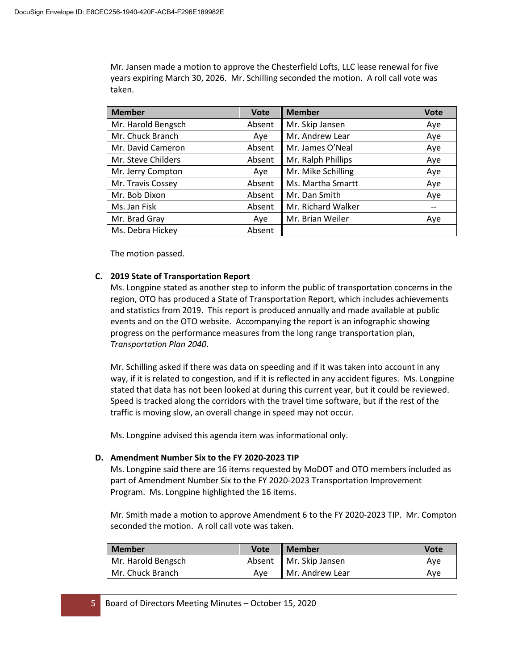Mr. Jansen made a motion to approve the Chesterfield Lofts, LLC lease renewal for five years expiring March 30, 2026. Mr. Schilling seconded the motion. A roll call vote was taken.

| <b>Member</b>      | <b>Vote</b> | <b>Member</b>      | <b>Vote</b> |
|--------------------|-------------|--------------------|-------------|
| Mr. Harold Bengsch | Absent      | Mr. Skip Jansen    | Aye         |
| Mr. Chuck Branch   | Aye         | Mr. Andrew Lear    | Aye         |
| Mr. David Cameron  | Absent      | Mr. James O'Neal   | Aye         |
| Mr. Steve Childers | Absent      | Mr. Ralph Phillips | Aye         |
| Mr. Jerry Compton  | Ave         | Mr. Mike Schilling | Aye         |
| Mr. Travis Cossey  | Absent      | Ms. Martha Smartt  | Aye         |
| Mr. Bob Dixon      | Absent      | Mr. Dan Smith      | Aye         |
| Ms. Jan Fisk       | Absent      | Mr. Richard Walker |             |
| Mr. Brad Gray      | Aye         | Mr. Brian Weiler   | Aye         |
| Ms. Debra Hickey   | Absent      |                    |             |

The motion passed.

### **C. 2019 State of Transportation Report**

Ms. Longpine stated as another step to inform the public of transportation concerns in the region, OTO has produced a State of Transportation Report, which includes achievements and statistics from 2019. This report is produced annually and made available at public events and on the OTO website. Accompanying the report is an infographic showing progress on the performance measures from the long range transportation plan, *Transportation Plan 2040*.

Mr. Schilling asked if there was data on speeding and if it was taken into account in any way, if it is related to congestion, and if it is reflected in any accident figures. Ms. Longpine stated that data has not been looked at during this current year, but it could be reviewed. Speed is tracked along the corridors with the travel time software, but if the rest of the traffic is moving slow, an overall change in speed may not occur.

Ms. Longpine advised this agenda item was informational only.

### **D. Amendment Number Six to the FY 2020-2023 TIP**

Ms. Longpine said there are 16 items requested by MoDOT and OTO members included as part of Amendment Number Six to the FY 2020-2023 Transportation Improvement Program. Ms. Longpine highlighted the 16 items.

Mr. Smith made a motion to approve Amendment 6 to the FY 2020-2023 TIP. Mr. Compton seconded the motion. A roll call vote was taken.

| <b>Member</b>      | <b>Vote</b> | <b>Member</b>          | Vote |
|--------------------|-------------|------------------------|------|
| Mr. Harold Bengsch |             | Absent Mr. Skip Jansen | Ave  |
| Mr. Chuck Branch   | Ave         | l Mr. Andrew Lear      | Ave  |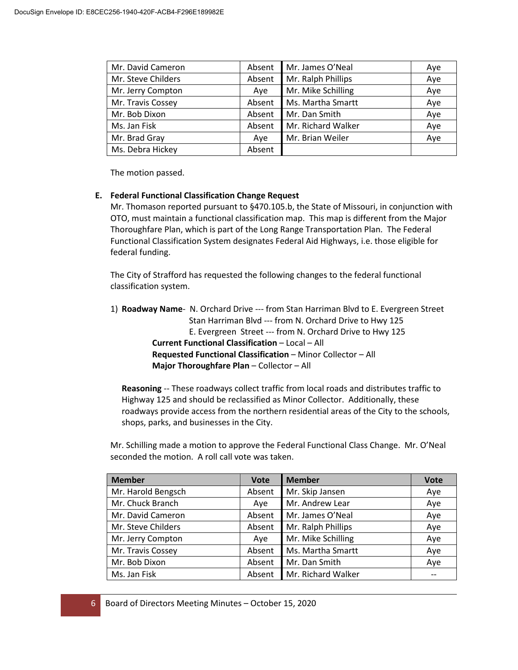| Mr. David Cameron  | Absent | Mr. James O'Neal   | Aye |
|--------------------|--------|--------------------|-----|
| Mr. Steve Childers | Absent | Mr. Ralph Phillips | Aye |
| Mr. Jerry Compton  | Aye    | Mr. Mike Schilling | Aye |
| Mr. Travis Cossey  | Absent | Ms. Martha Smartt  | Aye |
| Mr. Bob Dixon      | Absent | Mr. Dan Smith      | Aye |
| Ms. Jan Fisk       | Absent | Mr. Richard Walker | Aye |
| Mr. Brad Gray      | Aye    | Mr. Brian Weiler   | Aye |
| Ms. Debra Hickey   | Absent |                    |     |

The motion passed.

#### **E. Federal Functional Classification Change Request**

Mr. Thomason reported pursuant to §470.105.b, the State of Missouri, in conjunction with OTO, must maintain a functional classification map. This map is different from the Major Thoroughfare Plan, which is part of the Long Range Transportation Plan. The Federal Functional Classification System designates Federal Aid Highways, i.e. those eligible for federal funding.

The City of Strafford has requested the following changes to the federal functional classification system.

| 1) Roadway Name- N. Orchard Drive --- from Stan Harriman Blvd to E. Evergreen Street |
|--------------------------------------------------------------------------------------|
| Stan Harriman Blvd --- from N. Orchard Drive to Hwy 125                              |
| E. Evergreen Street --- from N. Orchard Drive to Hwy 125                             |
| <b>Current Functional Classification – Local – All</b>                               |
| <b>Requested Functional Classification – Minor Collector – All</b>                   |
| <b>Major Thoroughfare Plan</b> – Collector – All                                     |

**Reasoning** -- These roadways collect traffic from local roads and distributes traffic to Highway 125 and should be reclassified as Minor Collector. Additionally, these roadways provide access from the northern residential areas of the City to the schools, shops, parks, and businesses in the City.

Mr. Schilling made a motion to approve the Federal Functional Class Change. Mr. O'Neal seconded the motion. A roll call vote was taken.

| <b>Member</b>      | <b>Vote</b> | <b>Member</b>      | <b>Vote</b> |
|--------------------|-------------|--------------------|-------------|
| Mr. Harold Bengsch | Absent      | Mr. Skip Jansen    | Aye         |
| Mr. Chuck Branch   | Aye         | Mr. Andrew Lear    | Aye         |
| Mr. David Cameron  | Absent      | Mr. James O'Neal   | Aye         |
| Mr. Steve Childers | Absent      | Mr. Ralph Phillips | Aye         |
| Mr. Jerry Compton  | Aye         | Mr. Mike Schilling | Aye         |
| Mr. Travis Cossey  | Absent      | Ms. Martha Smartt  | Aye         |
| Mr. Bob Dixon      | Absent      | Mr. Dan Smith      | Aye         |
| Ms. Jan Fisk       | Absent      | Mr. Richard Walker | $- -$       |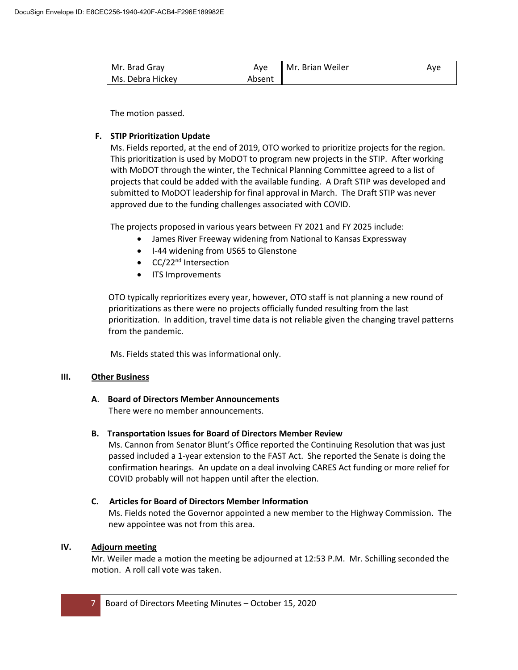| Mr. Brad Grav    | Ave    | l Mr. Brian Weiler | Ave |
|------------------|--------|--------------------|-----|
| Ms. Debra Hickey | Absent |                    |     |

The motion passed.

### **F. STIP Prioritization Update**

Ms. Fields reported, at the end of 2019, OTO worked to prioritize projects for the region. This prioritization is used by MoDOT to program new projects in the STIP. After working with MoDOT through the winter, the Technical Planning Committee agreed to a list of projects that could be added with the available funding. A Draft STIP was developed and submitted to MoDOT leadership for final approval in March. The Draft STIP was never approved due to the funding challenges associated with COVID.

The projects proposed in various years between FY 2021 and FY 2025 include:

- James River Freeway widening from National to Kansas Expressway
- I-44 widening from US65 to Glenstone
- CC/22<sup>nd</sup> Intersection
- ITS Improvements

OTO typically reprioritizes every year, however, OTO staff is not planning a new round of prioritizations as there were no projects officially funded resulting from the last prioritization. In addition, travel time data is not reliable given the changing travel patterns from the pandemic.

Ms. Fields stated this was informational only.

### **III. Other Business**

# **A**. **Board of Directors Member Announcements**

There were no member announcements.

### **B. Transportation Issues for Board of Directors Member Review**

Ms. Cannon from Senator Blunt's Office reported the Continuing Resolution that was just passed included a 1-year extension to the FAST Act. She reported the Senate is doing the confirmation hearings. An update on a deal involving CARES Act funding or more relief for COVID probably will not happen until after the election.

### **C. Articles for Board of Directors Member Information**

Ms. Fields noted the Governor appointed a new member to the Highway Commission. The new appointee was not from this area.

# **IV. Adjourn meeting**

Mr. Weiler made a motion the meeting be adjourned at 12:53 P.M. Mr. Schilling seconded the motion. A roll call vote was taken.